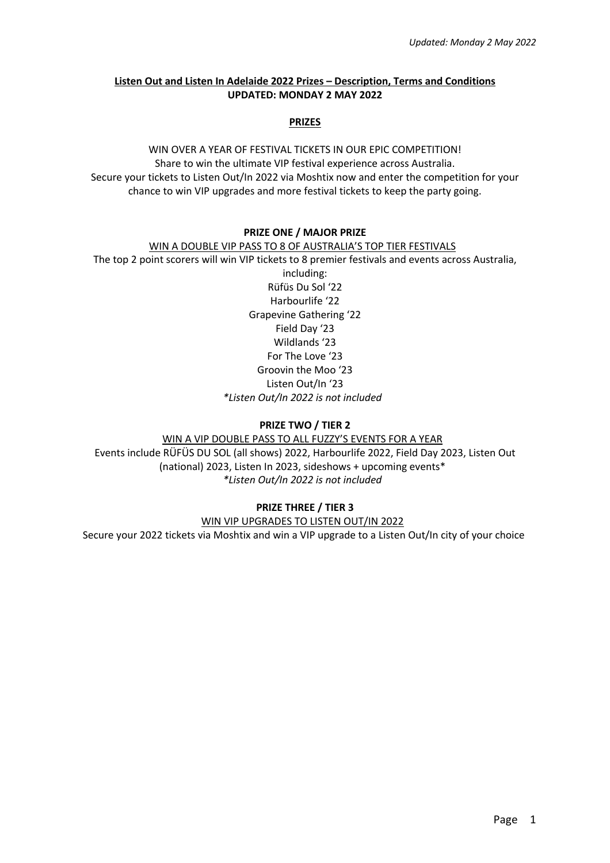# **Listen Out and Listen In Adelaide 2022 Prizes – Description, Terms and Conditions UPDATED: MONDAY 2 MAY 2022**

#### **PRIZES**

# WIN OVER A YEAR OF FESTIVAL TICKETS IN OUR EPIC COMPETITION! Share to win the ultimate VIP festival experience across Australia. Secure your tickets to Listen Out/In 2022 via Moshtix now and enter the competition for your chance to win VIP upgrades and more festival tickets to keep the party going.

#### **PRIZE ONE / MAJOR PRIZE**

# WIN A DOUBLE VIP PASS TO 8 OF AUSTRALIA'S TOP TIER FESTIVALS

The top 2 point scorers will win VIP tickets to 8 premier festivals and events across Australia, including: Rüfüs Du Sol '22 Harbourlife '22 Grapevine Gathering '22 Field Day '23 Wildlands '23 For The Love '23 Groovin the Moo '23 Listen Out/In '23 *\*Listen Out/In 2022 is not included*

### **PRIZE TWO / TIER 2**

WIN A VIP DOUBLE PASS TO ALL FUZZY'S EVENTS FOR A YEAR Events include RÜFÜS DU SOL (all shows) 2022, Harbourlife 2022, Field Day 2023, Listen Out (national) 2023, Listen In 2023, sideshows + upcoming events\* *\*Listen Out/In 2022 is not included* 

# **PRIZE THREE / TIER 3**

WIN VIP UPGRADES TO LISTEN OUT/IN 2022 Secure your 2022 tickets via Moshtix and win a VIP upgrade to a Listen Out/In city of your choice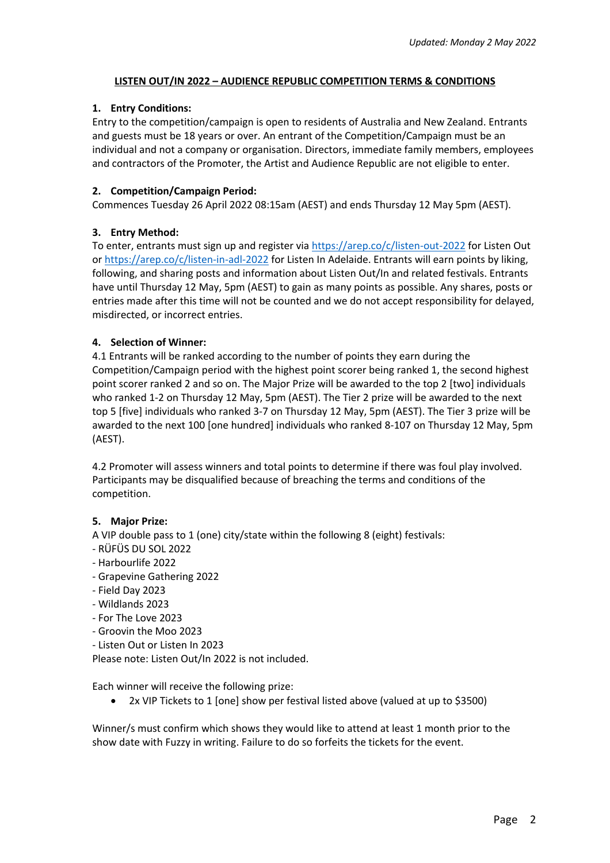### **LISTEN OUT/IN 2022 – AUDIENCE REPUBLIC COMPETITION TERMS & CONDITIONS**

# **1. Entry Conditions:**

Entry to the competition/campaign is open to residents of Australia and New Zealand. Entrants and guests must be 18 years or over. An entrant of the Competition/Campaign must be an individual and not a company or organisation. Directors, immediate family members, employees and contractors of the Promoter, the Artist and Audience Republic are not eligible to enter.

# **2. Competition/Campaign Period:**

Commences Tuesday 26 April 2022 08:15am (AEST) and ends Thursday 12 May 5pm (AEST).

# **3. Entry Method:**

To enter, entrants must sign up and register via https://arep.co/c/listen-out-2022 for Listen Out or https://arep.co/c/listen-in-adl-2022 for Listen In Adelaide. Entrants will earn points by liking, following, and sharing posts and information about Listen Out/In and related festivals. Entrants have until Thursday 12 May, 5pm (AEST) to gain as many points as possible. Any shares, posts or entries made after this time will not be counted and we do not accept responsibility for delayed, misdirected, or incorrect entries.

### **4. Selection of Winner:**

4.1 Entrants will be ranked according to the number of points they earn during the Competition/Campaign period with the highest point scorer being ranked 1, the second highest point scorer ranked 2 and so on. The Major Prize will be awarded to the top 2 [two] individuals who ranked 1-2 on Thursday 12 May, 5pm (AEST). The Tier 2 prize will be awarded to the next top 5 [five] individuals who ranked 3-7 on Thursday 12 May, 5pm (AEST). The Tier 3 prize will be awarded to the next 100 [one hundred] individuals who ranked 8-107 on Thursday 12 May, 5pm (AEST).

4.2 Promoter will assess winners and total points to determine if there was foul play involved. Participants may be disqualified because of breaching the terms and conditions of the competition.

#### **5. Major Prize:**

- A VIP double pass to 1 (one) city/state within the following 8 (eight) festivals:
- RÜFÜS DU SOL 2022
- Harbourlife 2022
- Grapevine Gathering 2022
- Field Day 2023
- Wildlands 2023
- For The Love 2023
- Groovin the Moo 2023
- Listen Out or Listen In 2023

Please note: Listen Out/In 2022 is not included.

Each winner will receive the following prize:

• 2x VIP Tickets to 1 [one] show per festival listed above (valued at up to \$3500)

Winner/s must confirm which shows they would like to attend at least 1 month prior to the show date with Fuzzy in writing. Failure to do so forfeits the tickets for the event.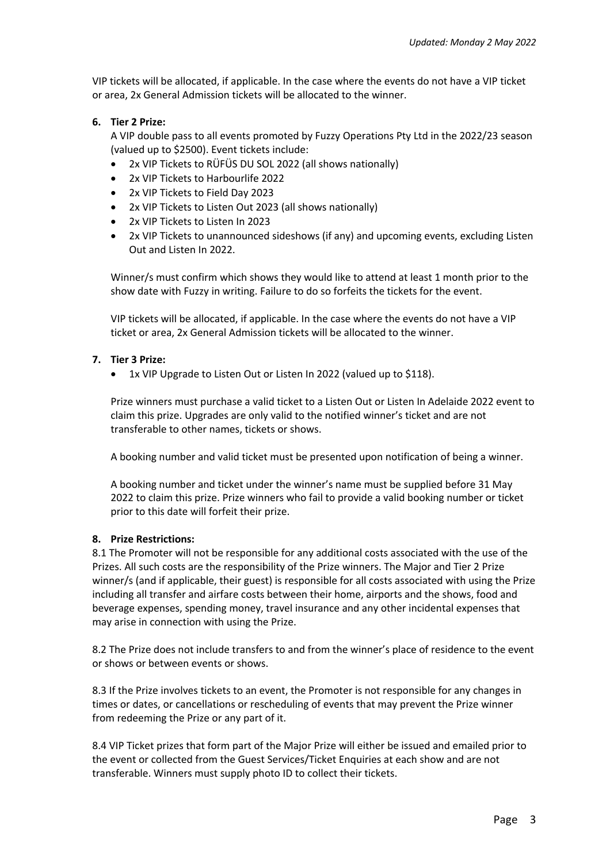VIP tickets will be allocated, if applicable. In the case where the events do not have a VIP ticket or area, 2x General Admission tickets will be allocated to the winner.

### **6. Tier 2 Prize:**

A VIP double pass to all events promoted by Fuzzy Operations Pty Ltd in the 2022/23 season (valued up to \$2500). Event tickets include:

- 2x VIP Tickets to RÜFÜS DU SOL 2022 (all shows nationally)
- 2x VIP Tickets to Harbourlife 2022
- 2x VIP Tickets to Field Day 2023
- 2x VIP Tickets to Listen Out 2023 (all shows nationally)
- 2x VIP Tickets to Listen In 2023
- 2x VIP Tickets to unannounced sideshows (if any) and upcoming events, excluding Listen Out and Listen In 2022.

Winner/s must confirm which shows they would like to attend at least 1 month prior to the show date with Fuzzy in writing. Failure to do so forfeits the tickets for the event.

VIP tickets will be allocated, if applicable. In the case where the events do not have a VIP ticket or area, 2x General Admission tickets will be allocated to the winner.

### **7. Tier 3 Prize:**

1x VIP Upgrade to Listen Out or Listen In 2022 (valued up to \$118).

Prize winners must purchase a valid ticket to a Listen Out or Listen In Adelaide 2022 event to claim this prize. Upgrades are only valid to the notified winner's ticket and are not transferable to other names, tickets or shows.

A booking number and valid ticket must be presented upon notification of being a winner.

A booking number and ticket under the winner's name must be supplied before 31 May 2022 to claim this prize. Prize winners who fail to provide a valid booking number or ticket prior to this date will forfeit their prize.

#### **8. Prize Restrictions:**

8.1 The Promoter will not be responsible for any additional costs associated with the use of the Prizes. All such costs are the responsibility of the Prize winners. The Major and Tier 2 Prize winner/s (and if applicable, their guest) is responsible for all costs associated with using the Prize including all transfer and airfare costs between their home, airports and the shows, food and beverage expenses, spending money, travel insurance and any other incidental expenses that may arise in connection with using the Prize.

8.2 The Prize does not include transfers to and from the winner's place of residence to the event or shows or between events or shows.

8.3 If the Prize involves tickets to an event, the Promoter is not responsible for any changes in times or dates, or cancellations or rescheduling of events that may prevent the Prize winner from redeeming the Prize or any part of it.

8.4 VIP Ticket prizes that form part of the Major Prize will either be issued and emailed prior to the event or collected from the Guest Services/Ticket Enquiries at each show and are not transferable. Winners must supply photo ID to collect their tickets.